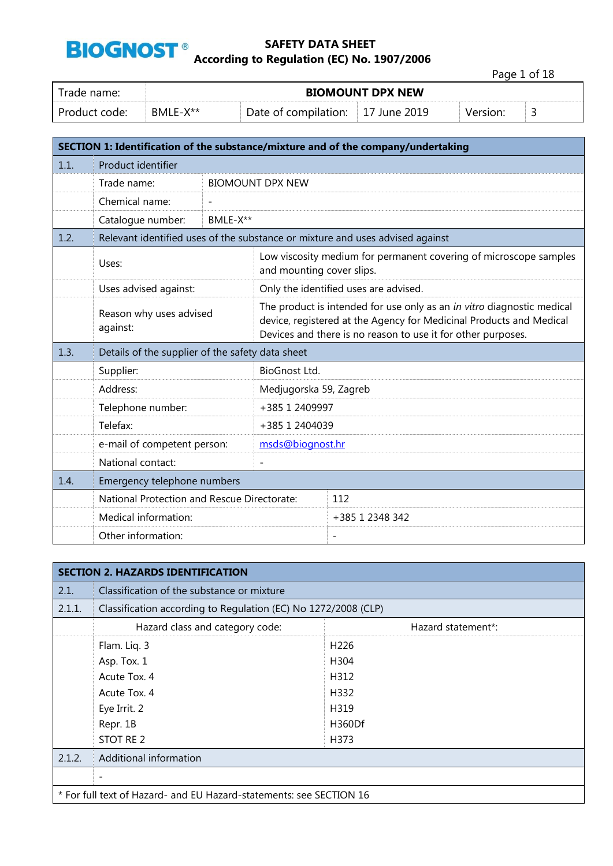

Page 1 of 18

| Trade name:     | <b>BIOMOUNT DPX NEW</b> |                                   |  |  |   |
|-----------------|-------------------------|-----------------------------------|--|--|---|
| - Product code: | RMI F-X**               | Date of compilation: 17 June 2019 |  |  | ے |

|      |                                                  |          |                                                                                                                                                                                                               | SECTION 1: Identification of the substance/mixture and of the company/undertaking |  |
|------|--------------------------------------------------|----------|---------------------------------------------------------------------------------------------------------------------------------------------------------------------------------------------------------------|-----------------------------------------------------------------------------------|--|
| 1.1. | Product identifier                               |          |                                                                                                                                                                                                               |                                                                                   |  |
|      | Trade name:                                      |          | <b>BIOMOUNT DPX NEW</b>                                                                                                                                                                                       |                                                                                   |  |
|      | Chemical name:                                   |          |                                                                                                                                                                                                               |                                                                                   |  |
|      | Catalogue number:                                | BMLE-X** |                                                                                                                                                                                                               |                                                                                   |  |
| 1.2. |                                                  |          |                                                                                                                                                                                                               | Relevant identified uses of the substance or mixture and uses advised against     |  |
|      | Uses:                                            |          | and mounting cover slips.                                                                                                                                                                                     | Low viscosity medium for permanent covering of microscope samples                 |  |
|      | Uses advised against:                            |          |                                                                                                                                                                                                               | Only the identified uses are advised.                                             |  |
|      | Reason why uses advised<br>against:              |          | The product is intended for use only as an in vitro diagnostic medical<br>device, registered at the Agency for Medicinal Products and Medical<br>Devices and there is no reason to use it for other purposes. |                                                                                   |  |
| 1.3. | Details of the supplier of the safety data sheet |          |                                                                                                                                                                                                               |                                                                                   |  |
|      | Supplier:                                        |          | <b>BioGnost Ltd.</b>                                                                                                                                                                                          |                                                                                   |  |
|      | Address:                                         |          | Medjugorska 59, Zagreb                                                                                                                                                                                        |                                                                                   |  |
|      | Telephone number:                                |          | +385 1 2409997                                                                                                                                                                                                |                                                                                   |  |
|      | Telefax:                                         |          | +385 1 2404039                                                                                                                                                                                                |                                                                                   |  |
|      | e-mail of competent person:                      |          | msds@biognost.hr                                                                                                                                                                                              |                                                                                   |  |
|      | National contact:                                |          | $\overline{a}$                                                                                                                                                                                                |                                                                                   |  |
| 1.4. | Emergency telephone numbers                      |          |                                                                                                                                                                                                               |                                                                                   |  |
|      | National Protection and Rescue Directorate:      |          |                                                                                                                                                                                                               | 112                                                                               |  |
|      | Medical information:                             |          |                                                                                                                                                                                                               | +385 1 2348 342                                                                   |  |
|      | Other information:                               |          |                                                                                                                                                                                                               | $\overline{\phantom{a}}$                                                          |  |

|        | <b>SECTION 2. HAZARDS IDENTIFICATION</b>                            |                    |  |  |  |
|--------|---------------------------------------------------------------------|--------------------|--|--|--|
| 2.1.   | Classification of the substance or mixture                          |                    |  |  |  |
| 2.1.1. | Classification according to Regulation (EC) No 1272/2008 (CLP)      |                    |  |  |  |
|        | Hazard class and category code:                                     | Hazard statement*: |  |  |  |
|        | Flam. Liq. 3                                                        | H <sub>226</sub>   |  |  |  |
|        | Asp. Tox. 1                                                         | H304               |  |  |  |
|        | Acute Tox, 4                                                        | H312               |  |  |  |
|        | Acute Tox. 4                                                        | H332               |  |  |  |
|        | Eye Irrit. 2                                                        | H319               |  |  |  |
|        | Repr. 1B                                                            | H360Df             |  |  |  |
|        | STOT RE 2                                                           | H373               |  |  |  |
| 2.1.2. | Additional information                                              |                    |  |  |  |
|        | $\overline{\phantom{a}}$                                            |                    |  |  |  |
|        | * For full text of Hazard- and EU Hazard-statements: see SECTION 16 |                    |  |  |  |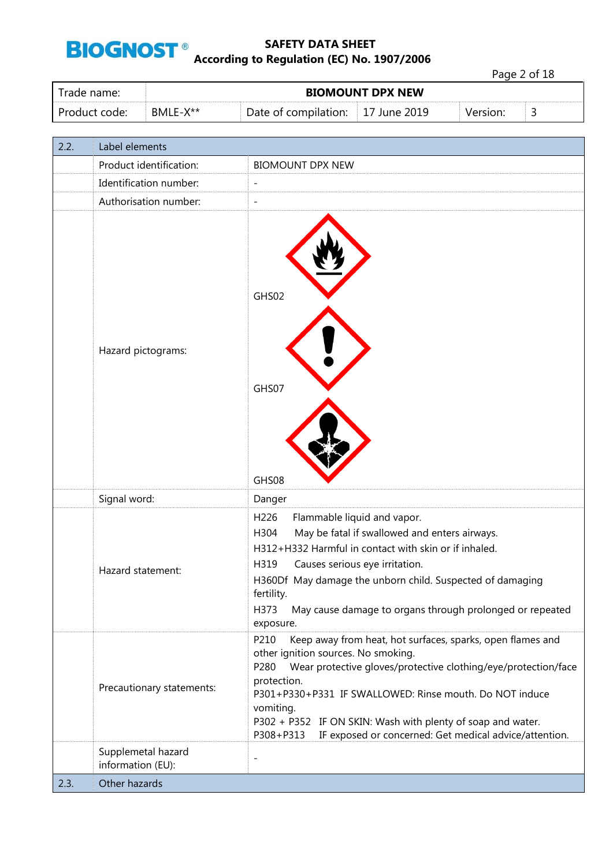

Page 2 of 18

| Trade name:   | <b>BIOMOUNT DPX NEW</b> |                                           |  |          |    |
|---------------|-------------------------|-------------------------------------------|--|----------|----|
| Product code: | BMLE-X**                | Date of compilation: $\vert$ 17 June 2019 |  | Version: | ــ |

| 2.2. | Label elements                          |                                                                                                                                                                                                                                                                                                                                                                                                               |
|------|-----------------------------------------|---------------------------------------------------------------------------------------------------------------------------------------------------------------------------------------------------------------------------------------------------------------------------------------------------------------------------------------------------------------------------------------------------------------|
|      | Product identification:                 | <b>BIOMOUNT DPX NEW</b>                                                                                                                                                                                                                                                                                                                                                                                       |
|      | Identification number:                  | $\overline{a}$                                                                                                                                                                                                                                                                                                                                                                                                |
|      | Authorisation number:                   | ÷,                                                                                                                                                                                                                                                                                                                                                                                                            |
|      | Hazard pictograms:                      | GHS02<br>GHS07<br>GHS08                                                                                                                                                                                                                                                                                                                                                                                       |
|      | Signal word:                            | Danger                                                                                                                                                                                                                                                                                                                                                                                                        |
|      | Hazard statement:                       | H226<br>Flammable liquid and vapor.<br>May be fatal if swallowed and enters airways.<br>H304<br>H312+H332 Harmful in contact with skin or if inhaled.<br>H319<br>Causes serious eye irritation.<br>H360Df May damage the unborn child. Suspected of damaging<br>fertility.<br>H373<br>May cause damage to organs through prolonged or repeated<br>exposure.                                                   |
|      | Precautionary statements:               | P210<br>Keep away from heat, hot surfaces, sparks, open flames and<br>other ignition sources. No smoking.<br>Wear protective gloves/protective clothing/eye/protection/face<br>P280<br>protection.<br>P301+P330+P331 IF SWALLOWED: Rinse mouth. Do NOT induce<br>vomiting.<br>P302 + P352 IF ON SKIN: Wash with plenty of soap and water.<br>P308+P313 IF exposed or concerned: Get medical advice/attention. |
|      | Supplemetal hazard<br>information (EU): | $\overline{a}$                                                                                                                                                                                                                                                                                                                                                                                                |
| 2.3. | Other hazards                           |                                                                                                                                                                                                                                                                                                                                                                                                               |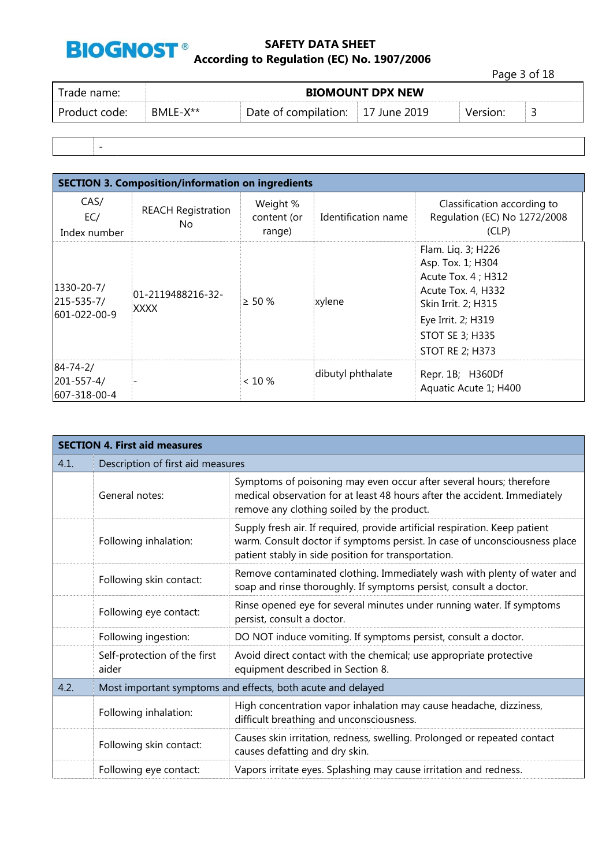

Page 3 of 18

| I Trade name: | <b>BIOMOUNT DPX NEW</b> |                                   |  |          |  |
|---------------|-------------------------|-----------------------------------|--|----------|--|
| Product code: | BMLE-X**                | Date of compilation: 17 June 2019 |  | Version: |  |
|               |                         |                                   |  |          |  |

-

| <b>SECTION 3. Composition/information on ingredients</b> |                                  |                                   |                     |                                                                                                                                                                                       |  |  |
|----------------------------------------------------------|----------------------------------|-----------------------------------|---------------------|---------------------------------------------------------------------------------------------------------------------------------------------------------------------------------------|--|--|
| CAS/<br>EC/<br>Index number                              | <b>REACH Registration</b><br>No. | Weight %<br>content (or<br>range) | Identification name | Classification according to<br>Regulation (EC) No 1272/2008<br>(CLP)                                                                                                                  |  |  |
| 1330-20-7/<br>$215 - 535 - 7/$<br>601-022-00-9           | 01-2119488216-32-<br><b>XXXX</b> | $> 50 \%$                         | xylene              | Flam. Lig. 3; H226<br>Asp. Tox. 1; H304<br>Acute Tox. 4 ; H312<br>Acute Tox. 4, H332<br>Skin Irrit. 2; H315<br>Eye Irrit. 2; H319<br><b>STOT SE 3; H335</b><br><b>STOT RE 2; H373</b> |  |  |
| $84 - 74 - 2/$<br>201-557-4/<br>607-318-00-4             |                                  | $< 10 \%$                         | dibutyl phthalate   | Repr. 1B; H360Df<br>Aquatic Acute 1; H400                                                                                                                                             |  |  |

| <b>SECTION 4. First aid measures</b> |                                       |                                                                                                                                                                                                                  |  |  |
|--------------------------------------|---------------------------------------|------------------------------------------------------------------------------------------------------------------------------------------------------------------------------------------------------------------|--|--|
| 4.1.                                 | Description of first aid measures     |                                                                                                                                                                                                                  |  |  |
|                                      | General notes:                        | Symptoms of poisoning may even occur after several hours; therefore<br>medical observation for at least 48 hours after the accident. Immediately<br>remove any clothing soiled by the product.                   |  |  |
|                                      | Following inhalation:                 | Supply fresh air. If required, provide artificial respiration. Keep patient<br>warm. Consult doctor if symptoms persist. In case of unconsciousness place<br>patient stably in side position for transportation. |  |  |
|                                      | Following skin contact:               | Remove contaminated clothing. Immediately wash with plenty of water and<br>soap and rinse thoroughly. If symptoms persist, consult a doctor.                                                                     |  |  |
|                                      | Following eye contact:                | Rinse opened eye for several minutes under running water. If symptoms<br>persist, consult a doctor.                                                                                                              |  |  |
|                                      | Following ingestion:                  | DO NOT induce vomiting. If symptoms persist, consult a doctor.                                                                                                                                                   |  |  |
|                                      | Self-protection of the first<br>aider | Avoid direct contact with the chemical; use appropriate protective<br>equipment described in Section 8.                                                                                                          |  |  |
| 4.2.                                 |                                       | Most important symptoms and effects, both acute and delayed                                                                                                                                                      |  |  |
|                                      | Following inhalation:                 | High concentration vapor inhalation may cause headache, dizziness,<br>difficult breathing and unconsciousness.                                                                                                   |  |  |
|                                      | Following skin contact:               | Causes skin irritation, redness, swelling. Prolonged or repeated contact<br>causes defatting and dry skin.                                                                                                       |  |  |
|                                      | Following eye contact:                | Vapors irritate eyes. Splashing may cause irritation and redness.                                                                                                                                                |  |  |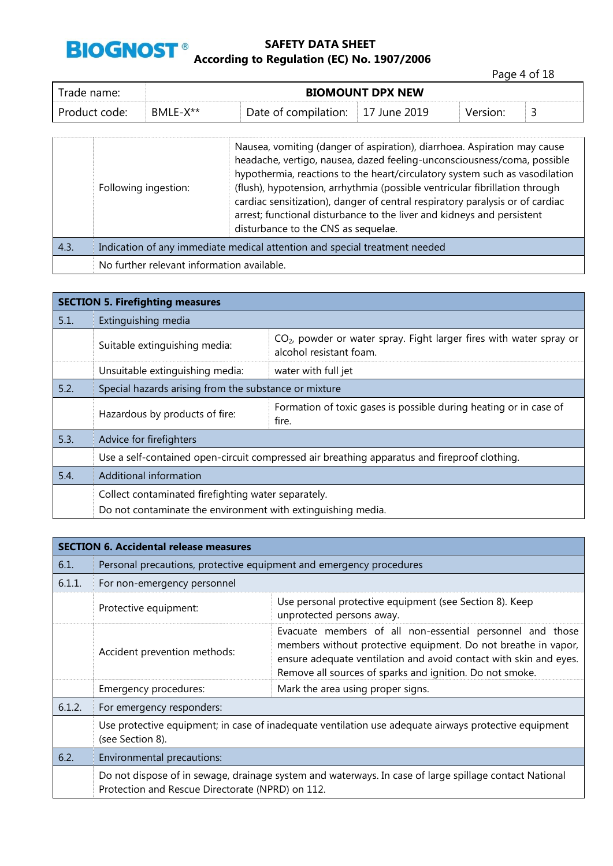

Page 4 of 18

| rade name: l  | <b>BIOMOUNT DPX NEW</b> |                      |                          |          |  |
|---------------|-------------------------|----------------------|--------------------------|----------|--|
| Product code: | BMLE-X**                | Date of compilation: | $\parallel$ 17 June 2019 | Version: |  |

|      | Following ingestion:                                                       | Nausea, vomiting (danger of aspiration), diarrhoea. Aspiration may cause<br>headache, vertigo, nausea, dazed feeling-unconsciousness/coma, possible<br>hypothermia, reactions to the heart/circulatory system such as vasodilation<br>(flush), hypotension, arrhythmia (possible ventricular fibrillation through<br>cardiac sensitization), danger of central respiratory paralysis or of cardiac<br>arrest; functional disturbance to the liver and kidneys and persistent<br>disturbance to the CNS as sequelae. |  |
|------|----------------------------------------------------------------------------|---------------------------------------------------------------------------------------------------------------------------------------------------------------------------------------------------------------------------------------------------------------------------------------------------------------------------------------------------------------------------------------------------------------------------------------------------------------------------------------------------------------------|--|
| 4.3. | Indication of any immediate medical attention and special treatment needed |                                                                                                                                                                                                                                                                                                                                                                                                                                                                                                                     |  |
|      | No further relevant information available.                                 |                                                                                                                                                                                                                                                                                                                                                                                                                                                                                                                     |  |

| <b>SECTION 5. Firefighting measures</b> |                                                                                              |                                                                                                  |  |  |  |
|-----------------------------------------|----------------------------------------------------------------------------------------------|--------------------------------------------------------------------------------------------------|--|--|--|
| 5.1.                                    | Extinguishing media                                                                          |                                                                                                  |  |  |  |
|                                         | Suitable extinguishing media:                                                                | $CO2$ , powder or water spray. Fight larger fires with water spray or<br>alcohol resistant foam. |  |  |  |
|                                         | Unsuitable extinguishing media:                                                              | water with full jet                                                                              |  |  |  |
| 5.2.                                    | Special hazards arising from the substance or mixture                                        |                                                                                                  |  |  |  |
|                                         | Hazardous by products of fire:                                                               | Formation of toxic gases is possible during heating or in case of<br>fire.                       |  |  |  |
| 5.3.                                    | Advice for firefighters                                                                      |                                                                                                  |  |  |  |
|                                         | Use a self-contained open-circuit compressed air breathing apparatus and fireproof clothing. |                                                                                                  |  |  |  |
| 5.4.                                    | Additional information                                                                       |                                                                                                  |  |  |  |
|                                         | Collect contaminated firefighting water separately.                                          |                                                                                                  |  |  |  |
|                                         | Do not contaminate the environment with extinguishing media.                                 |                                                                                                  |  |  |  |

|        | <b>SECTION 6. Accidental release measures</b>                                                                             |                                                                                                                                                                                                                                                              |  |  |  |
|--------|---------------------------------------------------------------------------------------------------------------------------|--------------------------------------------------------------------------------------------------------------------------------------------------------------------------------------------------------------------------------------------------------------|--|--|--|
| 6.1.   | Personal precautions, protective equipment and emergency procedures                                                       |                                                                                                                                                                                                                                                              |  |  |  |
| 6.1.1. | For non-emergency personnel                                                                                               |                                                                                                                                                                                                                                                              |  |  |  |
|        | Protective equipment:                                                                                                     | Use personal protective equipment (see Section 8). Keep<br>unprotected persons away.                                                                                                                                                                         |  |  |  |
|        | Accident prevention methods:                                                                                              | Evacuate members of all non-essential personnel and those<br>members without protective equipment. Do not breathe in vapor,<br>ensure adequate ventilation and avoid contact with skin and eyes.<br>Remove all sources of sparks and ignition. Do not smoke. |  |  |  |
|        | Emergency procedures:                                                                                                     | Mark the area using proper signs.                                                                                                                                                                                                                            |  |  |  |
| 6.1.2. | For emergency responders:                                                                                                 |                                                                                                                                                                                                                                                              |  |  |  |
|        | Use protective equipment; in case of inadequate ventilation use adequate airways protective equipment<br>(see Section 8). |                                                                                                                                                                                                                                                              |  |  |  |
| 6.2.   | Environmental precautions:                                                                                                |                                                                                                                                                                                                                                                              |  |  |  |
|        | Protection and Rescue Directorate (NPRD) on 112.                                                                          | Do not dispose of in sewage, drainage system and waterways. In case of large spillage contact National                                                                                                                                                       |  |  |  |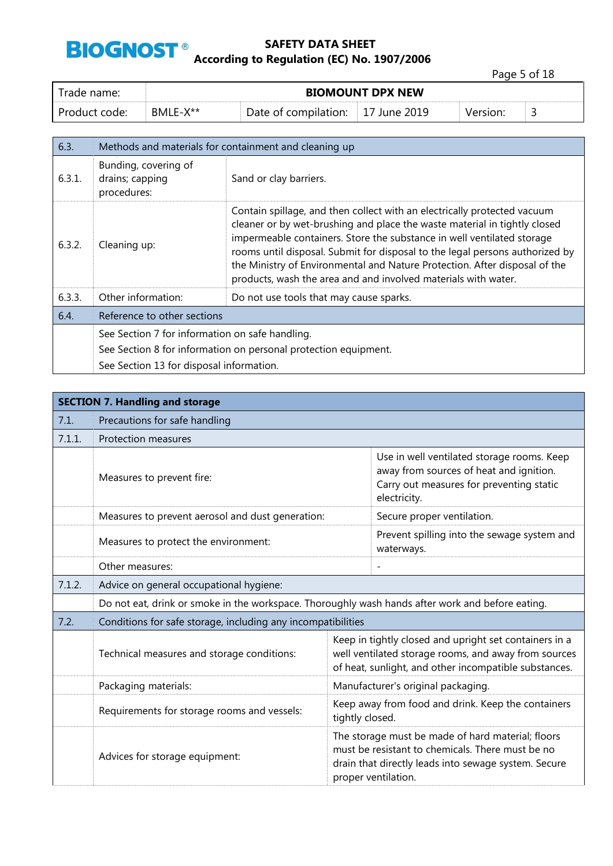

Page 5 of 18

| Trade name:     | <b>BIOMOUNT DPX NEW</b> |                      |              |          |   |
|-----------------|-------------------------|----------------------|--------------|----------|---|
| . Product code: | BMLE-X**                | Date of compilation: | 17 June 2019 | Version: | ٮ |

| 6.3.   |                                                        | Methods and materials for containment and cleaning up                                                                                                                                                                                                                                                                                                                                                                                                           |  |
|--------|--------------------------------------------------------|-----------------------------------------------------------------------------------------------------------------------------------------------------------------------------------------------------------------------------------------------------------------------------------------------------------------------------------------------------------------------------------------------------------------------------------------------------------------|--|
| 6.3.1. | Bunding, covering of<br>drains; capping<br>procedures: | Sand or clay barriers.                                                                                                                                                                                                                                                                                                                                                                                                                                          |  |
| 6.3.2. | Cleaning up:                                           | Contain spillage, and then collect with an electrically protected vacuum<br>cleaner or by wet-brushing and place the waste material in tightly closed<br>impermeable containers. Store the substance in well ventilated storage<br>rooms until disposal. Submit for disposal to the legal persons authorized by<br>the Ministry of Environmental and Nature Protection. After disposal of the<br>products, wash the area and and involved materials with water. |  |
| 6.3.3. | Other information:                                     | Do not use tools that may cause sparks.                                                                                                                                                                                                                                                                                                                                                                                                                         |  |
| 6.4.   | Reference to other sections                            |                                                                                                                                                                                                                                                                                                                                                                                                                                                                 |  |
|        | See Section 7 for information on safe handling.        |                                                                                                                                                                                                                                                                                                                                                                                                                                                                 |  |
|        |                                                        | See Section 8 for information on personal protection equipment.                                                                                                                                                                                                                                                                                                                                                                                                 |  |
|        | See Section 13 for disposal information.               |                                                                                                                                                                                                                                                                                                                                                                                                                                                                 |  |

|        | <b>SECTION 7. Handling and storage</b>                                                           |                                                                       |                                                                                                                                                                                      |  |  |
|--------|--------------------------------------------------------------------------------------------------|-----------------------------------------------------------------------|--------------------------------------------------------------------------------------------------------------------------------------------------------------------------------------|--|--|
| 7.1.   | Precautions for safe handling                                                                    |                                                                       |                                                                                                                                                                                      |  |  |
| 7.1.1. | <b>Protection measures</b>                                                                       |                                                                       |                                                                                                                                                                                      |  |  |
|        | Measures to prevent fire:                                                                        |                                                                       | Use in well ventilated storage rooms. Keep<br>away from sources of heat and ignition.<br>Carry out measures for preventing static<br>electricity.                                    |  |  |
|        | Measures to prevent aerosol and dust generation:                                                 |                                                                       | Secure proper ventilation.                                                                                                                                                           |  |  |
|        | Measures to protect the environment:                                                             |                                                                       | Prevent spilling into the sewage system and<br>waterways.                                                                                                                            |  |  |
|        | Other measures:                                                                                  |                                                                       |                                                                                                                                                                                      |  |  |
| 7.1.2. | Advice on general occupational hygiene:                                                          |                                                                       |                                                                                                                                                                                      |  |  |
|        | Do not eat, drink or smoke in the workspace. Thoroughly wash hands after work and before eating. |                                                                       |                                                                                                                                                                                      |  |  |
| 7.2.   | Conditions for safe storage, including any incompatibilities                                     |                                                                       |                                                                                                                                                                                      |  |  |
|        | Technical measures and storage conditions:                                                       |                                                                       | Keep in tightly closed and upright set containers in a<br>well ventilated storage rooms, and away from sources<br>of heat, sunlight, and other incompatible substances.              |  |  |
|        | Packaging materials:                                                                             |                                                                       | Manufacturer's original packaging.                                                                                                                                                   |  |  |
|        | Requirements for storage rooms and vessels:                                                      | Keep away from food and drink. Keep the containers<br>tightly closed. |                                                                                                                                                                                      |  |  |
|        | Advices for storage equipment:                                                                   |                                                                       | The storage must be made of hard material; floors<br>must be resistant to chemicals. There must be no<br>drain that directly leads into sewage system. Secure<br>proper ventilation. |  |  |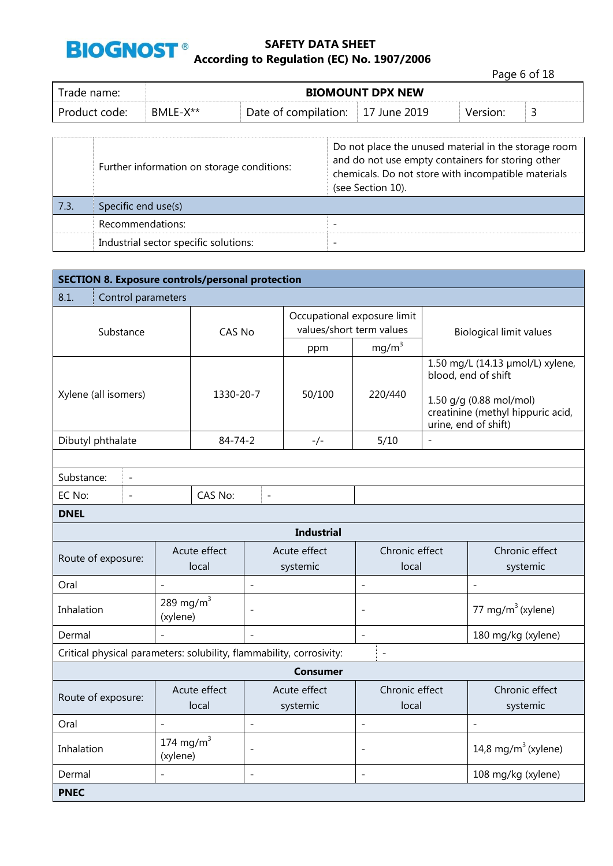

Page 6 of 18

| Trade name: I | <b>BIOMOUNT DPX NEW</b> |                      |              |          |   |
|---------------|-------------------------|----------------------|--------------|----------|---|
| Product code: | BMLE-X**                | Date of compilation: | 17 June 2019 | Version: | ັ |

|      | Further information on storage conditions: | Do not place the unused material in the storage room<br>and do not use empty containers for storing other<br>chemicals. Do not store with incompatible materials<br>(see Section 10). |
|------|--------------------------------------------|---------------------------------------------------------------------------------------------------------------------------------------------------------------------------------------|
| 7.3. | Specific end use(s)                        |                                                                                                                                                                                       |
|      | Recommendations:                           |                                                                                                                                                                                       |
|      | Industrial sector specific solutions:      | -                                                                                                                                                                                     |

| <b>SECTION 8. Exposure controls/personal protection</b>              |                                            |                       |                          |                         |                                                         |                                                                                                                                                 |                                 |
|----------------------------------------------------------------------|--------------------------------------------|-----------------------|--------------------------|-------------------------|---------------------------------------------------------|-------------------------------------------------------------------------------------------------------------------------------------------------|---------------------------------|
| 8.1.                                                                 | Control parameters                         |                       |                          |                         |                                                         |                                                                                                                                                 |                                 |
| Substance                                                            |                                            | CAS No                |                          |                         | Occupational exposure limit<br>values/short term values |                                                                                                                                                 | <b>Biological limit values</b>  |
|                                                                      |                                            |                       |                          | ppm                     | $mg/m^3$                                                |                                                                                                                                                 |                                 |
| Xylene (all isomers)                                                 |                                            | 1330-20-7             |                          | 50/100                  | 220/440                                                 | 1.50 mg/L (14.13 µmol/L) xylene,<br>blood, end of shift<br>1.50 g/g (0.88 mol/mol)<br>creatinine (methyl hippuric acid,<br>urine, end of shift) |                                 |
| Dibutyl phthalate                                                    |                                            | $84 - 74 - 2$         |                          | -/-                     | 5/10                                                    | $\overline{a}$                                                                                                                                  |                                 |
|                                                                      |                                            |                       |                          |                         |                                                         |                                                                                                                                                 |                                 |
| Substance:<br>$\overline{\phantom{a}}$                               |                                            |                       |                          |                         |                                                         |                                                                                                                                                 |                                 |
| EC No:<br>$\overline{a}$                                             |                                            | CAS No:               | $\overline{a}$           |                         |                                                         |                                                                                                                                                 |                                 |
| <b>DNEL</b>                                                          |                                            |                       |                          |                         |                                                         |                                                                                                                                                 |                                 |
|                                                                      |                                            |                       |                          | <b>Industrial</b>       |                                                         |                                                                                                                                                 |                                 |
| Route of exposure:                                                   |                                            | Acute effect<br>local | Acute effect<br>systemic |                         | Chronic effect<br>local                                 |                                                                                                                                                 | Chronic effect<br>systemic      |
| Oral                                                                 | $\overline{\phantom{0}}$                   |                       | $\overline{\phantom{0}}$ |                         | $\overline{a}$                                          |                                                                                                                                                 | $\overline{a}$                  |
| Inhalation                                                           | 289 mg/m $3$<br>(xylene)                   |                       |                          |                         | $\overline{\phantom{a}}$                                |                                                                                                                                                 | 77 mg/m $3$ (xylene)            |
| Dermal                                                               |                                            |                       | $\sim$                   |                         | $\overline{\phantom{a}}$                                |                                                                                                                                                 | 180 mg/kg (xylene)              |
| Critical physical parameters: solubility, flammability, corrosivity: |                                            |                       |                          |                         | $\overline{a}$                                          |                                                                                                                                                 |                                 |
|                                                                      |                                            |                       |                          | <b>Consumer</b>         |                                                         |                                                                                                                                                 |                                 |
| Acute effect<br>Route of exposure:<br>local                          |                                            |                       | Acute effect<br>systemic | Chronic effect<br>local |                                                         | Chronic effect<br>systemic                                                                                                                      |                                 |
| Oral                                                                 | $\overline{\phantom{a}}$<br>$\overline{a}$ |                       |                          | $\overline{a}$          |                                                         | $\overline{\phantom{a}}$                                                                                                                        |                                 |
| Inhalation                                                           | 174 mg/m $3$<br>(xylene)                   |                       | $\overline{\phantom{a}}$ |                         | $\overline{\phantom{a}}$                                |                                                                                                                                                 | 14,8 mg/m <sup>3</sup> (xylene) |
| Dermal                                                               |                                            |                       | $\overline{\phantom{0}}$ |                         | $\overline{\phantom{a}}$                                |                                                                                                                                                 | 108 mg/kg (xylene)              |
| <b>PNEC</b>                                                          |                                            |                       |                          |                         |                                                         |                                                                                                                                                 |                                 |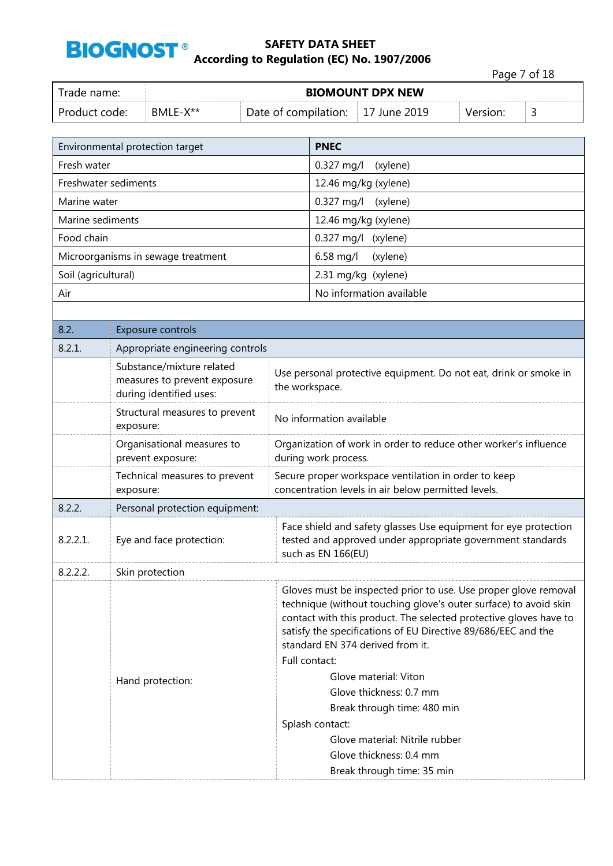

|               |          |                                   |                         |          | Page 7 of 18 |  |
|---------------|----------|-----------------------------------|-------------------------|----------|--------------|--|
| Trade name:   |          |                                   | <b>BIOMOUNT DPX NEW</b> |          |              |  |
| Product code: | BMLE-X** | Date of compilation: 17 June 2019 |                         | Version: |              |  |

|                      | Environmental protection target                                                      |                | <b>PNEC</b>                                                                                                                                                                                                                                                                                                                                             |  |  |
|----------------------|--------------------------------------------------------------------------------------|----------------|---------------------------------------------------------------------------------------------------------------------------------------------------------------------------------------------------------------------------------------------------------------------------------------------------------------------------------------------------------|--|--|
| Fresh water          |                                                                                      |                | 0.327 mg/l<br>(xylene)                                                                                                                                                                                                                                                                                                                                  |  |  |
| Freshwater sediments |                                                                                      |                | 12.46 mg/kg (xylene)                                                                                                                                                                                                                                                                                                                                    |  |  |
| Marine water         |                                                                                      |                | 0.327 mg/l<br>(xylene)                                                                                                                                                                                                                                                                                                                                  |  |  |
| Marine sediments     |                                                                                      |                | 12.46 mg/kg (xylene)                                                                                                                                                                                                                                                                                                                                    |  |  |
| Food chain           |                                                                                      |                | $0.327$ mg/l<br>(xylene)                                                                                                                                                                                                                                                                                                                                |  |  |
|                      | Microorganisms in sewage treatment                                                   |                | 6.58 mg/l<br>(xylene)                                                                                                                                                                                                                                                                                                                                   |  |  |
| Soil (agricultural)  |                                                                                      |                | 2.31 mg/kg (xylene)                                                                                                                                                                                                                                                                                                                                     |  |  |
| Air                  |                                                                                      |                | No information available                                                                                                                                                                                                                                                                                                                                |  |  |
|                      |                                                                                      |                |                                                                                                                                                                                                                                                                                                                                                         |  |  |
| 8.2.                 | Exposure controls                                                                    |                |                                                                                                                                                                                                                                                                                                                                                         |  |  |
| 8.2.1.               | Appropriate engineering controls                                                     |                |                                                                                                                                                                                                                                                                                                                                                         |  |  |
|                      | Substance/mixture related<br>measures to prevent exposure<br>during identified uses: | the workspace. | Use personal protective equipment. Do not eat, drink or smoke in                                                                                                                                                                                                                                                                                        |  |  |
|                      | Structural measures to prevent<br>exposure:                                          |                | No information available                                                                                                                                                                                                                                                                                                                                |  |  |
|                      | Organisational measures to<br>prevent exposure:                                      |                | Organization of work in order to reduce other worker's influence<br>during work process.                                                                                                                                                                                                                                                                |  |  |
|                      | Technical measures to prevent<br>exposure:                                           |                | Secure proper workspace ventilation in order to keep<br>concentration levels in air below permitted levels.                                                                                                                                                                                                                                             |  |  |
| 8.2.2.               | Personal protection equipment:                                                       |                |                                                                                                                                                                                                                                                                                                                                                         |  |  |
| 8.2.2.1.             | Eye and face protection:                                                             |                | Face shield and safety glasses Use equipment for eye protection<br>tested and approved under appropriate government standards<br>such as EN 166(EU)                                                                                                                                                                                                     |  |  |
| 8.2.2.2.             | Skin protection                                                                      |                |                                                                                                                                                                                                                                                                                                                                                         |  |  |
|                      | Hand protection:                                                                     |                | Gloves must be inspected prior to use. Use proper glove removal<br>technique (without touching glove's outer surface) to avoid skin<br>contact with this product. The selected protective gloves have to<br>satisfy the specifications of EU Directive 89/686/EEC and the<br>standard EN 374 derived from it.<br>Full contact:<br>Glove material: Viton |  |  |
|                      |                                                                                      |                | Glove thickness: 0.7 mm<br>Break through time: 480 min<br>Splash contact:<br>Glove material: Nitrile rubber<br>Glove thickness: 0.4 mm<br>Break through time: 35 min                                                                                                                                                                                    |  |  |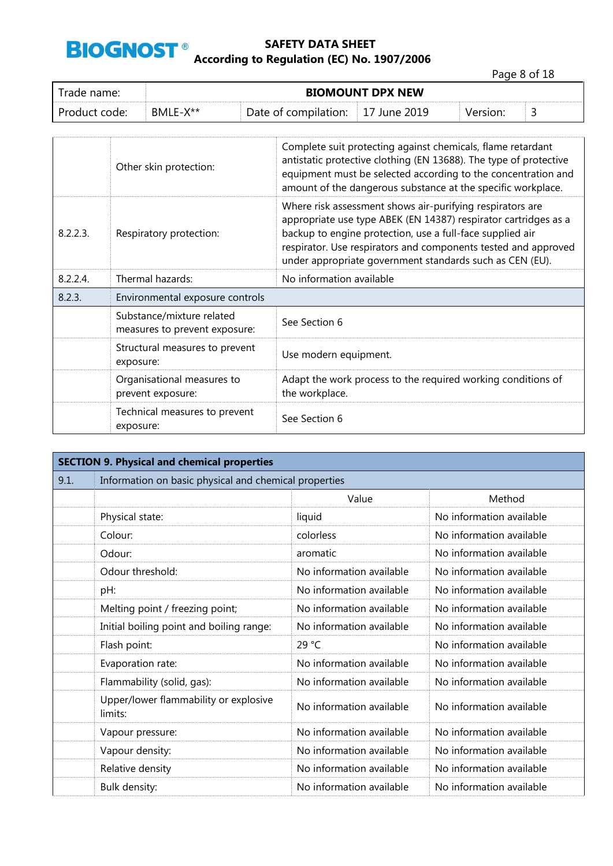

Page 8 of 18

| frade name:   | <b>BIOMOUNT DPX NEW</b> |                      |              |          |  |
|---------------|-------------------------|----------------------|--------------|----------|--|
| Product code: | BMLE-X**                | Date of compilation: | 17 June 2019 | Version: |  |

|          | Other skin protection:                                     | Complete suit protecting against chemicals, flame retardant<br>antistatic protective clothing (EN 13688). The type of protective<br>equipment must be selected according to the concentration and<br>amount of the dangerous substance at the specific workplace.                                                       |
|----------|------------------------------------------------------------|-------------------------------------------------------------------------------------------------------------------------------------------------------------------------------------------------------------------------------------------------------------------------------------------------------------------------|
| 8.2.2.3. | Respiratory protection:                                    | Where risk assessment shows air-purifying respirators are<br>appropriate use type ABEK (EN 14387) respirator cartridges as a<br>backup to engine protection, use a full-face supplied air<br>respirator. Use respirators and components tested and approved<br>under appropriate government standards such as CEN (EU). |
| 8.2.2.4. | Thermal hazards:                                           | No information available                                                                                                                                                                                                                                                                                                |
| 8.2.3.   | Environmental exposure controls                            |                                                                                                                                                                                                                                                                                                                         |
|          | Substance/mixture related<br>measures to prevent exposure: | See Section 6                                                                                                                                                                                                                                                                                                           |
|          | Structural measures to prevent<br>exposure:                | Use modern equipment.                                                                                                                                                                                                                                                                                                   |
|          | Organisational measures to<br>prevent exposure:            | Adapt the work process to the required working conditions of<br>the workplace.                                                                                                                                                                                                                                          |
|          | Technical measures to prevent<br>exposure:                 | See Section 6                                                                                                                                                                                                                                                                                                           |

|      | <b>SECTION 9. Physical and chemical properties</b>    |                          |                          |  |  |  |
|------|-------------------------------------------------------|--------------------------|--------------------------|--|--|--|
| 9.1. | Information on basic physical and chemical properties |                          |                          |  |  |  |
|      |                                                       | Value                    | Method                   |  |  |  |
|      | Physical state:                                       | liquid                   | No information available |  |  |  |
|      | Colour:                                               | colorless                | No information available |  |  |  |
|      | Odour:                                                | aromatic                 | No information available |  |  |  |
|      | Odour threshold:                                      | No information available | No information available |  |  |  |
|      | pH:                                                   | No information available | No information available |  |  |  |
|      | Melting point / freezing point;                       | No information available | No information available |  |  |  |
|      | Initial boiling point and boiling range:              | No information available | No information available |  |  |  |
|      | Flash point:                                          | 29 °C                    | No information available |  |  |  |
|      | Evaporation rate:                                     | No information available | No information available |  |  |  |
|      | Flammability (solid, gas):                            | No information available | No information available |  |  |  |
|      | Upper/lower flammability or explosive<br>limits:      | No information available | No information available |  |  |  |
|      | Vapour pressure:                                      | No information available | No information available |  |  |  |
|      | Vapour density:                                       | No information available | No information available |  |  |  |
|      | Relative density                                      | No information available | No information available |  |  |  |
|      | Bulk density:                                         | No information available | No information available |  |  |  |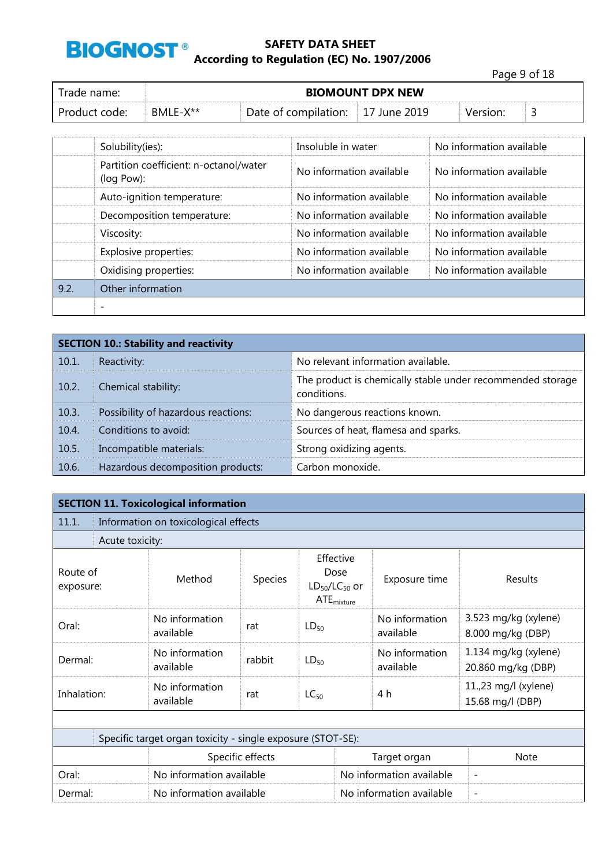

Page 9 of 18 Trade name: **BIOMOUNT DPX NEW** Product code: BMLE-X<sup>\*\*</sup> Date of compilation: 17 June 2019 Version: 3

|      | Solubility(ies):                                     | Insoluble in water       | No information available |
|------|------------------------------------------------------|--------------------------|--------------------------|
|      | Partition coefficient: n-octanol/water<br>(log Pow): | No information available | No information available |
|      | Auto-ignition temperature:                           | No information available | No information available |
|      | Decomposition temperature:                           | No information available | No information available |
|      | Viscosity:                                           | No information available | No information available |
|      | Explosive properties:                                | No information available | No information available |
|      | Oxidising properties:                                | No information available | No information available |
| 9.2. | Other information                                    |                          |                          |
|      |                                                      |                          |                          |

|       | <b>SECTION 10.: Stability and reactivity</b> |                                                                           |
|-------|----------------------------------------------|---------------------------------------------------------------------------|
| 10.1. | Reactivity:                                  | No relevant information available.                                        |
| 10.2. | Chemical stability:                          | The product is chemically stable under recommended storage<br>conditions. |
| 10.3. | Possibility of hazardous reactions:          | No dangerous reactions known.                                             |
| 10.4. | Conditions to avoid:                         | Sources of heat, flamesa and sparks.                                      |
| 10.5. | Incompatible materials:                      | Strong oxidizing agents.                                                  |
| 10.6. | Hazardous decomposition products:            | Carbon monoxide.                                                          |

|                       |                 | <b>SECTION 11. Toxicological information</b>                |         |                                                              |                             |                                            |
|-----------------------|-----------------|-------------------------------------------------------------|---------|--------------------------------------------------------------|-----------------------------|--------------------------------------------|
| 11.1.                 |                 | Information on toxicological effects                        |         |                                                              |                             |                                            |
|                       | Acute toxicity: |                                                             |         |                                                              |                             |                                            |
| Route of<br>exposure: |                 | Method                                                      | Species | Effective<br>Dose<br>$LD_{50}/LC_{50}$ or<br>$ATE_{mixture}$ | Exposure time               | Results                                    |
| Oral:                 |                 | No information<br>available                                 | rat     | $LD_{50}$                                                    | No information<br>available | 3.523 mg/kg (xylene)<br>8.000 mg/kg (DBP)  |
| Dermal:               |                 | No information<br>available                                 | rabbit  | $LD_{50}$                                                    | No information<br>available | 1.134 mg/kg (xylene)<br>20.860 mg/kg (DBP) |
| Inhalation:           |                 | No information<br>available                                 | rat     | $LC_{50}$                                                    | 4 h                         | 11.,23 mg/l (xylene)<br>15.68 mg/l (DBP)   |
|                       |                 |                                                             |         |                                                              |                             |                                            |
|                       |                 | Specific target organ toxicity - single exposure (STOT-SE): |         |                                                              |                             |                                            |
| Specific effects      |                 |                                                             |         |                                                              | Target organ                | <b>Note</b>                                |
| Oral:                 |                 | No information available                                    |         |                                                              | No information available    | $\overline{\phantom{a}}$                   |
| Dermal:               |                 | No information available                                    |         |                                                              | No information available    |                                            |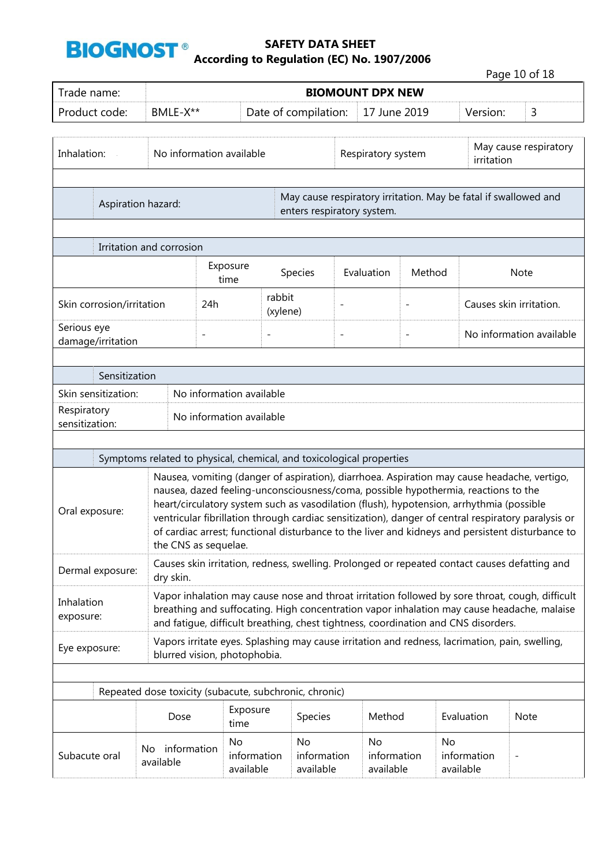

Page 10 of 18

| Trade name:                                               | <b>BIOMOUNT DPX NEW</b> |                                                                      |                                        |                            |                    |                                |                |                                                                                                                                                                                |                                                                                                                                                                                                                                                                                                        |
|-----------------------------------------------------------|-------------------------|----------------------------------------------------------------------|----------------------------------------|----------------------------|--------------------|--------------------------------|----------------|--------------------------------------------------------------------------------------------------------------------------------------------------------------------------------|--------------------------------------------------------------------------------------------------------------------------------------------------------------------------------------------------------------------------------------------------------------------------------------------------------|
| Product code:                                             |                         | BMLE-X**                                                             |                                        | Date of compilation:       |                    | 17 June 2019                   |                | Version:                                                                                                                                                                       | 3                                                                                                                                                                                                                                                                                                      |
| Inhalation:                                               |                         | No information available                                             |                                        |                            | Respiratory system |                                |                | irritation                                                                                                                                                                     | May cause respiratory                                                                                                                                                                                                                                                                                  |
| Aspiration hazard:                                        |                         |                                                                      |                                        | enters respiratory system. |                    |                                |                | May cause respiratory irritation. May be fatal if swallowed and                                                                                                                |                                                                                                                                                                                                                                                                                                        |
| Irritation and corrosion                                  |                         |                                                                      |                                        |                            |                    |                                |                |                                                                                                                                                                                |                                                                                                                                                                                                                                                                                                        |
|                                                           |                         |                                                                      | Exposure<br>time                       | Species                    |                    | Evaluation                     | Method         |                                                                                                                                                                                | <b>Note</b>                                                                                                                                                                                                                                                                                            |
| Skin corrosion/irritation                                 | 24h                     |                                                                      | rabbit<br>(xylene)                     | $\overline{\phantom{0}}$   |                    |                                |                | Causes skin irritation.                                                                                                                                                        |                                                                                                                                                                                                                                                                                                        |
| Serious eye<br>damage/irritation                          |                         | $\overline{a}$                                                       | $\overline{\phantom{0}}$               |                            | $\overline{a}$     |                                | $\overline{a}$ |                                                                                                                                                                                | No information available                                                                                                                                                                                                                                                                               |
| Sensitization                                             |                         |                                                                      |                                        |                            |                    |                                |                |                                                                                                                                                                                |                                                                                                                                                                                                                                                                                                        |
| Skin sensitization:<br>No information available           |                         |                                                                      |                                        |                            |                    |                                |                |                                                                                                                                                                                |                                                                                                                                                                                                                                                                                                        |
| Respiratory<br>No information available<br>sensitization: |                         |                                                                      |                                        |                            |                    |                                |                |                                                                                                                                                                                |                                                                                                                                                                                                                                                                                                        |
|                                                           |                         |                                                                      |                                        |                            |                    |                                |                |                                                                                                                                                                                |                                                                                                                                                                                                                                                                                                        |
|                                                           |                         | Symptoms related to physical, chemical, and toxicological properties |                                        |                            |                    |                                |                |                                                                                                                                                                                |                                                                                                                                                                                                                                                                                                        |
| Oral exposure:                                            |                         | the CNS as sequelae.                                                 |                                        |                            |                    |                                |                | nausea, dazed feeling-unconsciousness/coma, possible hypothermia, reactions to the<br>heart/circulatory system such as vasodilation (flush), hypotension, arrhythmia (possible | Nausea, vomiting (danger of aspiration), diarrhoea. Aspiration may cause headache, vertigo,<br>ventricular fibrillation through cardiac sensitization), danger of central respiratory paralysis or<br>of cardiac arrest; functional disturbance to the liver and kidneys and persistent disturbance to |
| Dermal exposure:                                          |                         | dry skin.                                                            |                                        |                            |                    |                                |                |                                                                                                                                                                                | Causes skin irritation, redness, swelling. Prolonged or repeated contact causes defatting and                                                                                                                                                                                                          |
| Inhalation<br>exposure:                                   |                         |                                                                      |                                        |                            |                    |                                |                | and fatigue, difficult breathing, chest tightness, coordination and CNS disorders.                                                                                             | Vapor inhalation may cause nose and throat irritation followed by sore throat, cough, difficult<br>breathing and suffocating. High concentration vapor inhalation may cause headache, malaise                                                                                                          |
| Eye exposure:                                             |                         | blurred vision, photophobia.                                         |                                        |                            |                    |                                |                | Vapors irritate eyes. Splashing may cause irritation and redness, lacrimation, pain, swelling,                                                                                 |                                                                                                                                                                                                                                                                                                        |
|                                                           |                         |                                                                      |                                        |                            |                    |                                |                |                                                                                                                                                                                |                                                                                                                                                                                                                                                                                                        |
|                                                           |                         | Repeated dose toxicity (subacute, subchronic, chronic)<br>Dose       | Exposure                               | Species                    |                    | Method                         |                | Evaluation                                                                                                                                                                     | Note                                                                                                                                                                                                                                                                                                   |
| Subacute oral                                             | No<br>available         | information                                                          | time<br>No<br>information<br>available | No<br>available            | information        | No<br>information<br>available |                | No<br>information<br>available                                                                                                                                                 |                                                                                                                                                                                                                                                                                                        |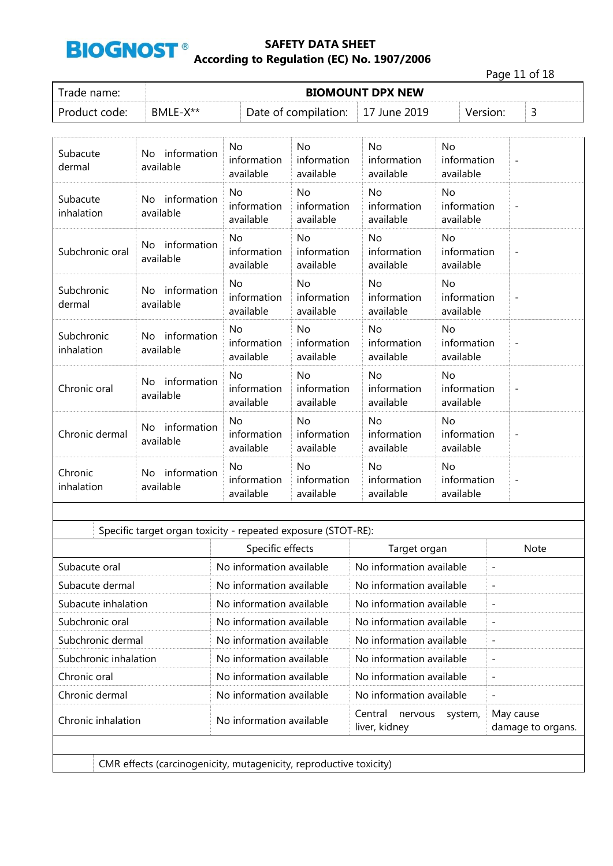

Page 11 of 18

| Trade name:   | <b>BIOMOUNT DPX NEW</b> |                                           |  |          |  |  |  |  |
|---------------|-------------------------|-------------------------------------------|--|----------|--|--|--|--|
| Product code: | BMLE-X**                | Date of compilation: $\vert$ 17 June 2019 |  | Version: |  |  |  |  |

| Subacute<br>dermal       | information<br>No.<br>available | <b>No</b><br>information<br>available | <b>No</b><br>information<br>available | <b>No</b><br>information<br>available | <b>No</b><br>information<br>available |                          |
|--------------------------|---------------------------------|---------------------------------------|---------------------------------------|---------------------------------------|---------------------------------------|--------------------------|
| Subacute<br>inhalation   | No information<br>available     | <b>No</b><br>information<br>available | <b>No</b><br>information<br>available | <b>No</b><br>information<br>available | <b>No</b><br>information<br>available | $\overline{\phantom{a}}$ |
| Subchronic oral          | information<br>No.<br>available | <b>No</b><br>information<br>available | <b>No</b><br>information<br>available | <b>No</b><br>information<br>available | <b>No</b><br>information<br>available |                          |
| Subchronic<br>dermal     | No information<br>available     | <b>No</b><br>information<br>available | <b>No</b><br>information<br>available | <b>No</b><br>information<br>available | <b>No</b><br>information<br>available |                          |
| Subchronic<br>inhalation | information<br>No.<br>available | No<br>information<br>available        | No<br>information<br>available        | No<br>information<br>available        | No<br>information<br>available        | $\overline{\phantom{a}}$ |
| Chronic oral             | information<br>No<br>available  | No<br>information<br>available        | <b>No</b><br>information<br>available | <b>No</b><br>information<br>available | <b>No</b><br>information<br>available |                          |
| Chronic dermal           | No information<br>available     | <b>No</b><br>information<br>available | <b>No</b><br>information<br>available | <b>No</b><br>information<br>available | <b>No</b><br>information<br>available |                          |
| Chronic<br>inhalation    | No information<br>available     | <b>No</b><br>information<br>available | <b>No</b><br>information<br>available | <b>No</b><br>information<br>available | <b>No</b><br>information<br>available | $\overline{\phantom{a}}$ |

| No information available<br>No information available<br>No information available<br>No information available<br>$\overline{\phantom{0}}$<br>No information available<br>No information available<br>No information available<br>No information available<br>$\overline{\phantom{a}}$<br>No information available<br>No information available<br>No information available<br>No information available<br>No information available<br>No information available<br>No information available<br>No information available<br>$\overline{\phantom{a}}$<br>Central<br>May cause<br>nervous<br>system,<br>No information available<br>liver, kidney |               | Specific effects | Target organ | <b>Note</b>       |
|---------------------------------------------------------------------------------------------------------------------------------------------------------------------------------------------------------------------------------------------------------------------------------------------------------------------------------------------------------------------------------------------------------------------------------------------------------------------------------------------------------------------------------------------------------------------------------------------------------------------------------------------|---------------|------------------|--------------|-------------------|
| Subacute dermal<br>Subacute inhalation<br>Subchronic oral<br>Subchronic dermal<br>Subchronic inhalation<br>Chronic dermal                                                                                                                                                                                                                                                                                                                                                                                                                                                                                                                   | Subacute oral |                  |              |                   |
| Chronic oral<br>Chronic inhalation                                                                                                                                                                                                                                                                                                                                                                                                                                                                                                                                                                                                          |               |                  |              |                   |
|                                                                                                                                                                                                                                                                                                                                                                                                                                                                                                                                                                                                                                             |               |                  |              |                   |
|                                                                                                                                                                                                                                                                                                                                                                                                                                                                                                                                                                                                                                             |               |                  |              |                   |
|                                                                                                                                                                                                                                                                                                                                                                                                                                                                                                                                                                                                                                             |               |                  |              |                   |
|                                                                                                                                                                                                                                                                                                                                                                                                                                                                                                                                                                                                                                             |               |                  |              |                   |
|                                                                                                                                                                                                                                                                                                                                                                                                                                                                                                                                                                                                                                             |               |                  |              |                   |
|                                                                                                                                                                                                                                                                                                                                                                                                                                                                                                                                                                                                                                             |               |                  |              |                   |
|                                                                                                                                                                                                                                                                                                                                                                                                                                                                                                                                                                                                                                             |               |                  |              | damage to organs. |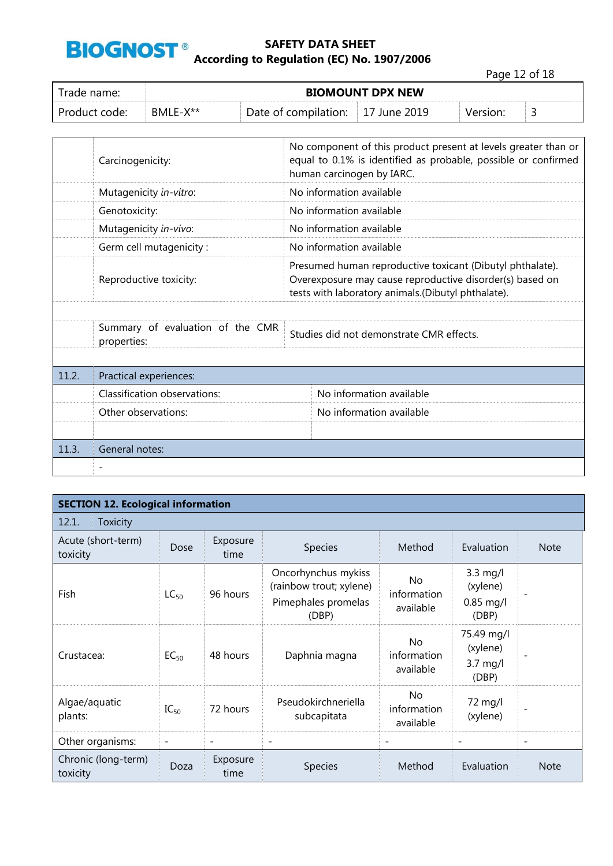

Page 12 of 18

| Trade name:   | <b>BIOMOUNT DPX NEW</b> |                                   |  |          |  |  |  |  |  |
|---------------|-------------------------|-----------------------------------|--|----------|--|--|--|--|--|
| Product code: | BMLE-X**                | Date of compilation: 17 June 2019 |  | Version: |  |  |  |  |  |

|       | Carcinogenicity:                                | No component of this product present at levels greater than or<br>equal to 0.1% is identified as probable, possible or confirmed<br>human carcinogen by IARC.               |                                          |  |  |  |  |
|-------|-------------------------------------------------|-----------------------------------------------------------------------------------------------------------------------------------------------------------------------------|------------------------------------------|--|--|--|--|
|       | Mutagenicity in-vitro:                          |                                                                                                                                                                             | No information available                 |  |  |  |  |
|       | Genotoxicity:                                   |                                                                                                                                                                             | No information available                 |  |  |  |  |
|       | Mutagenicity in-vivo:                           |                                                                                                                                                                             | No information available                 |  |  |  |  |
|       | Germ cell mutagenicity:                         |                                                                                                                                                                             | No information available                 |  |  |  |  |
|       | Reproductive toxicity:                          | Presumed human reproductive toxicant (Dibutyl phthalate).<br>Overexposure may cause reproductive disorder(s) based on<br>tests with laboratory animals.(Dibutyl phthalate). |                                          |  |  |  |  |
|       |                                                 |                                                                                                                                                                             |                                          |  |  |  |  |
|       | Summary of evaluation of the CMR<br>properties: |                                                                                                                                                                             | Studies did not demonstrate CMR effects. |  |  |  |  |
|       |                                                 |                                                                                                                                                                             |                                          |  |  |  |  |
| 11.2. | Practical experiences:                          |                                                                                                                                                                             |                                          |  |  |  |  |
|       | Classification observations:                    |                                                                                                                                                                             | No information available                 |  |  |  |  |
|       | Other observations:                             |                                                                                                                                                                             | No information available                 |  |  |  |  |
|       |                                                 |                                                                                                                                                                             |                                          |  |  |  |  |
| 11.3. | General notes:                                  |                                                                                                                                                                             |                                          |  |  |  |  |
|       |                                                 |                                                                                                                                                                             |                                          |  |  |  |  |

|                                        | <b>SECTION 12. Ecological information</b> |                          |                                                                                |                                       |                                                       |                          |  |  |  |  |  |  |
|----------------------------------------|-------------------------------------------|--------------------------|--------------------------------------------------------------------------------|---------------------------------------|-------------------------------------------------------|--------------------------|--|--|--|--|--|--|
| 12.1.<br><b>Toxicity</b>               |                                           |                          |                                                                                |                                       |                                                       |                          |  |  |  |  |  |  |
| Acute (short-term)<br>Dose<br>toxicity |                                           | Exposure<br>time         | Species                                                                        | Method                                | Evaluation                                            | <b>Note</b>              |  |  |  |  |  |  |
| Fish                                   | $LC_{50}$                                 | 96 hours                 | Oncorhynchus mykiss<br>(rainbow trout; xylene)<br>Pimephales promelas<br>(DBP) | <b>No</b><br>information<br>available | $3.3$ mg/l<br>(xylene)<br>$0.85$ mg/l<br>(DBP)        |                          |  |  |  |  |  |  |
| Crustacea:                             | $EC_{50}$                                 | 48 hours                 | Daphnia magna                                                                  | <b>No</b><br>information<br>available | 75.49 mg/l<br>(xylene)<br>$3.7 \text{ mg/l}$<br>(DBP) | -                        |  |  |  |  |  |  |
| Algae/aquatic<br>plants:               | $IC_{50}$                                 | 72 hours                 | Pseudokirchneriella<br>subcapitata                                             | <b>No</b><br>information<br>available | 72 mg/l<br>(xylene)                                   |                          |  |  |  |  |  |  |
| Other organisms:                       | $\overline{\phantom{a}}$                  | $\overline{\phantom{0}}$ | $\overline{\phantom{a}}$                                                       | $\overline{\phantom{a}}$              | $\overline{\phantom{a}}$                              | $\overline{\phantom{a}}$ |  |  |  |  |  |  |
| Chronic (long-term)<br>toxicity        | Doza                                      | Exposure<br>time         | <b>Species</b>                                                                 | Method                                | Evaluation                                            | <b>Note</b>              |  |  |  |  |  |  |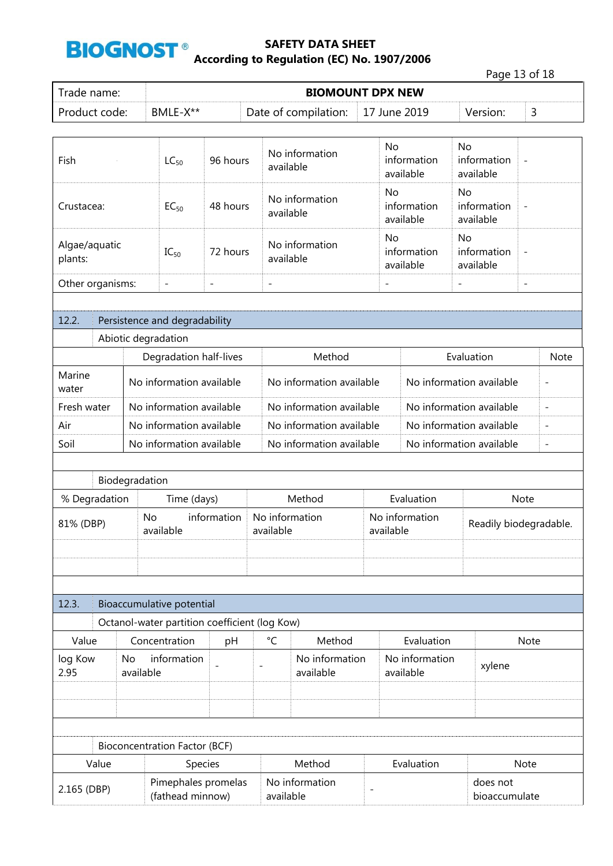

|                                                    |                                         |                |                                               |                             |                             |                                          |                                |                          |                                       | Page 13 of 18            |  |
|----------------------------------------------------|-----------------------------------------|----------------|-----------------------------------------------|-----------------------------|-----------------------------|------------------------------------------|--------------------------------|--------------------------|---------------------------------------|--------------------------|--|
| Trade name:                                        |                                         |                |                                               |                             |                             | <b>BIOMOUNT DPX NEW</b>                  |                                |                          |                                       |                          |  |
| Product code:                                      |                                         |                | BMLE-X**                                      |                             |                             | Date of compilation:                     |                                | 17 June 2019             | Version:                              | 3                        |  |
|                                                    |                                         |                |                                               |                             |                             |                                          |                                |                          |                                       |                          |  |
| Fish                                               |                                         |                | $LC_{50}$                                     | 96 hours                    |                             | No information<br>available              | <b>No</b>                      | information<br>available | <b>No</b><br>information<br>available | $\overline{\phantom{0}}$ |  |
| Crustacea:                                         |                                         |                | $EC_{50}$                                     | 48 hours                    |                             | No information<br>available              | <b>No</b>                      | information<br>available | <b>No</b><br>information<br>available | $\overline{a}$           |  |
| plants:                                            | Algae/aquatic<br>72 hours<br>$IC_{50}$  |                |                                               | No information<br>available | No                          | information<br>available                 | No<br>information<br>available | ÷                        |                                       |                          |  |
| Other organisms:                                   |                                         |                | $\overline{\phantom{a}}$                      | $\qquad \qquad -$           | $\overline{\phantom{a}}$    |                                          | $\overline{a}$                 |                          | $\overline{\phantom{a}}$              | $\overline{\phantom{a}}$ |  |
|                                                    |                                         |                |                                               |                             |                             |                                          |                                |                          |                                       |                          |  |
| 12.2.                                              |                                         |                | Persistence and degradability                 |                             |                             |                                          |                                |                          |                                       |                          |  |
|                                                    |                                         |                | Abiotic degradation                           |                             |                             |                                          |                                |                          |                                       |                          |  |
|                                                    |                                         |                | Degradation half-lives                        |                             |                             | Method                                   |                                |                          | Evaluation                            |                          |  |
| Marine<br>water                                    |                                         |                | No information available                      |                             |                             | No information available                 |                                | No information available |                                       |                          |  |
|                                                    | Fresh water<br>No information available |                |                                               |                             |                             | No information available                 |                                |                          | No information available              | $\qquad \qquad -$        |  |
| Air                                                | No information available                |                |                                               |                             |                             | No information available                 |                                |                          | No information available              | $\overline{a}$           |  |
| Soil<br>No information available                   |                                         |                |                                               | No information available    |                             |                                          | No information available       | $\overline{\phantom{a}}$ |                                       |                          |  |
|                                                    |                                         |                |                                               |                             |                             |                                          |                                |                          |                                       |                          |  |
|                                                    |                                         | Biodegradation |                                               |                             |                             |                                          |                                |                          |                                       |                          |  |
| % Degradation                                      |                                         |                | Time (days)                                   |                             | Method                      |                                          |                                | Evaluation               |                                       | Note                     |  |
| 81% (DBP)                                          |                                         |                | No<br>available                               | information                 |                             | No information<br>available<br>available |                                | No information           |                                       | Readily biodegradable.   |  |
|                                                    |                                         |                |                                               |                             |                             |                                          |                                |                          |                                       |                          |  |
|                                                    |                                         |                |                                               |                             |                             |                                          |                                |                          |                                       |                          |  |
| 12.3.                                              |                                         |                | Bioaccumulative potential                     |                             |                             |                                          |                                |                          |                                       |                          |  |
|                                                    |                                         |                | Octanol-water partition coefficient (log Kow) |                             |                             |                                          |                                |                          |                                       |                          |  |
| Value                                              |                                         |                | Concentration                                 | pH                          | °C                          | Method                                   |                                | Evaluation               |                                       | Note                     |  |
| information<br>log Kow<br>No.<br>2.95<br>available |                                         |                | No information<br>available                   |                             | No information<br>available | xylene                                   |                                |                          |                                       |                          |  |
|                                                    |                                         |                |                                               |                             |                             |                                          |                                |                          |                                       |                          |  |
|                                                    |                                         |                |                                               |                             |                             |                                          |                                |                          |                                       |                          |  |
|                                                    |                                         |                |                                               |                             |                             |                                          |                                |                          |                                       |                          |  |
|                                                    |                                         |                | <b>Bioconcentration Factor (BCF)</b>          |                             |                             |                                          |                                |                          |                                       |                          |  |
|                                                    | Value                                   |                | Species                                       |                             |                             | Method                                   |                                | Evaluation               |                                       | Note                     |  |
| 2.165 (DBP)                                        |                                         |                | Pimephales promelas<br>(fathead minnow)       |                             |                             | No information<br>available              | $\overline{\phantom{a}}$       |                          | does not<br>bioaccumulate             |                          |  |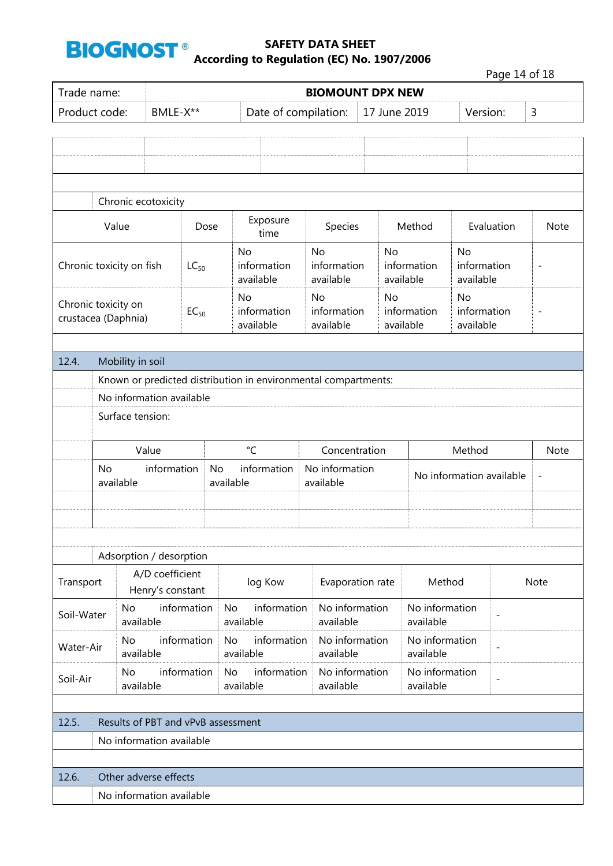

Page 14 of 18

|                                                                                                                                                                                                                                                                                                                                                                                                                |                                |             | <b>BIOMOUNT DPX NEW</b>               |                                             |                                       |                             |                                |                                       |                 |                             |                          |                          |                          |  |
|----------------------------------------------------------------------------------------------------------------------------------------------------------------------------------------------------------------------------------------------------------------------------------------------------------------------------------------------------------------------------------------------------------------|--------------------------------|-------------|---------------------------------------|---------------------------------------------|---------------------------------------|-----------------------------|--------------------------------|---------------------------------------|-----------------|-----------------------------|--------------------------|--------------------------|--------------------------|--|
| Trade name:<br>Product code:<br>Chronic ecotoxicity<br>Value<br>Chronic toxicity on fish<br>Chronic toxicity on<br>crustacea (Daphnia)<br>12.4.<br>Mobility in soil<br>Known or predicted distribution in environmental compartments:<br>No information available<br>Surface tension:<br>Value<br>No<br>available<br>Adsorption / desorption<br>Transport<br><b>No</b><br>Soil-Water<br>available<br><b>No</b> | BMLE-X**                       |             | Date of compilation:                  |                                             |                                       | 17 June 2019                |                                |                                       |                 | Version:                    | 3                        |                          |                          |  |
|                                                                                                                                                                                                                                                                                                                                                                                                                |                                |             |                                       |                                             |                                       |                             |                                |                                       |                 |                             |                          |                          |                          |  |
|                                                                                                                                                                                                                                                                                                                                                                                                                |                                |             |                                       |                                             |                                       |                             |                                |                                       |                 |                             |                          |                          |                          |  |
|                                                                                                                                                                                                                                                                                                                                                                                                                |                                |             |                                       |                                             |                                       |                             |                                |                                       |                 |                             |                          |                          |                          |  |
|                                                                                                                                                                                                                                                                                                                                                                                                                |                                |             |                                       |                                             |                                       |                             |                                |                                       |                 |                             |                          |                          |                          |  |
|                                                                                                                                                                                                                                                                                                                                                                                                                |                                |             |                                       |                                             |                                       |                             |                                |                                       |                 |                             |                          |                          |                          |  |
|                                                                                                                                                                                                                                                                                                                                                                                                                |                                |             |                                       | Dose                                        | Exposure<br>time                      |                             | Species                        |                                       |                 | Method                      |                          | Evaluation               | <b>Note</b>              |  |
|                                                                                                                                                                                                                                                                                                                                                                                                                | $LC_{50}$                      |             |                                       | No<br><b>No</b><br>information<br>available |                                       | information<br>available    |                                | <b>No</b><br>information<br>available |                 | <b>No</b><br>available      | information              | $\overline{\phantom{a}}$ |                          |  |
| $EC_{50}$                                                                                                                                                                                                                                                                                                                                                                                                      |                                |             | <b>No</b><br>information<br>available | <b>No</b>                                   | information<br>available              |                             | No<br>information<br>available |                                       | No<br>available | information                 | $\overline{\phantom{a}}$ |                          |                          |  |
|                                                                                                                                                                                                                                                                                                                                                                                                                |                                |             |                                       |                                             |                                       |                             |                                |                                       |                 |                             |                          |                          |                          |  |
|                                                                                                                                                                                                                                                                                                                                                                                                                |                                |             |                                       |                                             |                                       |                             |                                |                                       |                 |                             |                          |                          |                          |  |
|                                                                                                                                                                                                                                                                                                                                                                                                                |                                |             |                                       |                                             |                                       |                             |                                |                                       |                 |                             |                          |                          |                          |  |
|                                                                                                                                                                                                                                                                                                                                                                                                                |                                |             |                                       |                                             |                                       |                             |                                |                                       |                 |                             |                          |                          |                          |  |
|                                                                                                                                                                                                                                                                                                                                                                                                                |                                |             |                                       |                                             |                                       |                             |                                |                                       |                 |                             |                          |                          |                          |  |
|                                                                                                                                                                                                                                                                                                                                                                                                                | $^{\circ}$ C                   |             |                                       |                                             |                                       |                             | Concentration                  |                                       |                 |                             | Method                   |                          | Note                     |  |
|                                                                                                                                                                                                                                                                                                                                                                                                                |                                | information |                                       | No                                          | information<br>available              |                             | No information<br>available    |                                       |                 | No information available    |                          |                          | $\overline{\phantom{m}}$ |  |
|                                                                                                                                                                                                                                                                                                                                                                                                                |                                |             |                                       |                                             |                                       |                             |                                |                                       |                 |                             |                          |                          |                          |  |
|                                                                                                                                                                                                                                                                                                                                                                                                                |                                |             |                                       |                                             |                                       |                             |                                |                                       |                 |                             |                          |                          |                          |  |
|                                                                                                                                                                                                                                                                                                                                                                                                                |                                |             |                                       |                                             |                                       |                             |                                |                                       |                 |                             |                          |                          |                          |  |
|                                                                                                                                                                                                                                                                                                                                                                                                                |                                |             | A/D coefficient<br>Henry's constant   |                                             | log Kow                               |                             | Evaporation rate               |                                       |                 | Method                      |                          |                          | Note                     |  |
|                                                                                                                                                                                                                                                                                                                                                                                                                |                                |             | information                           |                                             | information<br><b>No</b><br>available |                             | No information<br>available    |                                       |                 | No information<br>available | $\overline{\phantom{0}}$ |                          |                          |  |
| Water-Air                                                                                                                                                                                                                                                                                                                                                                                                      |                                | available   | information                           |                                             | information<br><b>No</b><br>available |                             | No information<br>available    |                                       |                 | No information<br>available |                          | $\overline{a}$           |                          |  |
| Soil-Air                                                                                                                                                                                                                                                                                                                                                                                                       | information<br>No<br>available |             | information<br><b>No</b><br>available |                                             | No information<br>available           | No information<br>available |                                |                                       | $\overline{a}$  |                             |                          |                          |                          |  |
|                                                                                                                                                                                                                                                                                                                                                                                                                |                                |             |                                       |                                             |                                       |                             |                                |                                       |                 |                             |                          |                          |                          |  |
| 12.5.                                                                                                                                                                                                                                                                                                                                                                                                          |                                |             | Results of PBT and vPvB assessment    |                                             |                                       |                             |                                |                                       |                 |                             |                          |                          |                          |  |
|                                                                                                                                                                                                                                                                                                                                                                                                                |                                |             | No information available              |                                             |                                       |                             |                                |                                       |                 |                             |                          |                          |                          |  |
|                                                                                                                                                                                                                                                                                                                                                                                                                |                                |             |                                       |                                             |                                       |                             |                                |                                       |                 |                             |                          |                          |                          |  |
| 12.6.                                                                                                                                                                                                                                                                                                                                                                                                          |                                |             | Other adverse effects                 |                                             |                                       |                             |                                |                                       |                 |                             |                          |                          |                          |  |
|                                                                                                                                                                                                                                                                                                                                                                                                                |                                |             | No information available              |                                             |                                       |                             |                                |                                       |                 |                             |                          |                          |                          |  |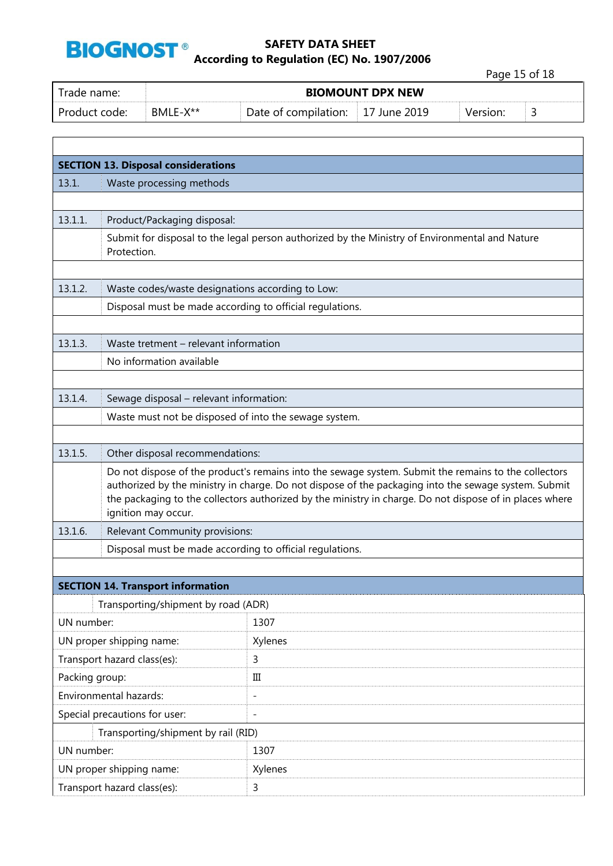

Page 15 of 18

| Trade name:   |          | <b>BIOMOUNT DPX NEW</b> |                          |          |  |
|---------------|----------|-------------------------|--------------------------|----------|--|
| Product code: | BMLE-X** | Date of compilation:    | $\parallel$ 17 June 2019 | Version: |  |

|                               | <b>SECTION 13. Disposal considerations</b>                                                                                                                                                                                                                                                                                                     |                                                                                                |  |
|-------------------------------|------------------------------------------------------------------------------------------------------------------------------------------------------------------------------------------------------------------------------------------------------------------------------------------------------------------------------------------------|------------------------------------------------------------------------------------------------|--|
| 13.1.                         | Waste processing methods                                                                                                                                                                                                                                                                                                                       |                                                                                                |  |
|                               |                                                                                                                                                                                                                                                                                                                                                |                                                                                                |  |
| 13.1.1.                       | Product/Packaging disposal:                                                                                                                                                                                                                                                                                                                    |                                                                                                |  |
|                               | Protection.                                                                                                                                                                                                                                                                                                                                    | Submit for disposal to the legal person authorized by the Ministry of Environmental and Nature |  |
| 13.1.2.                       |                                                                                                                                                                                                                                                                                                                                                | Waste codes/waste designations according to Low:                                               |  |
|                               |                                                                                                                                                                                                                                                                                                                                                | Disposal must be made according to official regulations.                                       |  |
| 13.1.3.                       | Waste tretment - relevant information                                                                                                                                                                                                                                                                                                          |                                                                                                |  |
|                               | No information available                                                                                                                                                                                                                                                                                                                       |                                                                                                |  |
| 13.1.4.                       | Sewage disposal - relevant information:                                                                                                                                                                                                                                                                                                        |                                                                                                |  |
|                               |                                                                                                                                                                                                                                                                                                                                                | Waste must not be disposed of into the sewage system.                                          |  |
| 13.1.5.                       | Other disposal recommendations:                                                                                                                                                                                                                                                                                                                |                                                                                                |  |
|                               | Do not dispose of the product's remains into the sewage system. Submit the remains to the collectors<br>authorized by the ministry in charge. Do not dispose of the packaging into the sewage system. Submit<br>the packaging to the collectors authorized by the ministry in charge. Do not dispose of in places where<br>ignition may occur. |                                                                                                |  |
| 13.1.6.                       | Relevant Community provisions:                                                                                                                                                                                                                                                                                                                 |                                                                                                |  |
|                               |                                                                                                                                                                                                                                                                                                                                                | Disposal must be made according to official regulations.                                       |  |
|                               |                                                                                                                                                                                                                                                                                                                                                |                                                                                                |  |
|                               | <b>SECTION 14. Transport information</b>                                                                                                                                                                                                                                                                                                       |                                                                                                |  |
|                               | Transporting/shipment by road (ADR)                                                                                                                                                                                                                                                                                                            |                                                                                                |  |
| UN number:                    |                                                                                                                                                                                                                                                                                                                                                | 1307                                                                                           |  |
| UN proper shipping name:      |                                                                                                                                                                                                                                                                                                                                                | Xylenes                                                                                        |  |
| Transport hazard class(es):   |                                                                                                                                                                                                                                                                                                                                                | 3                                                                                              |  |
| Packing group:                |                                                                                                                                                                                                                                                                                                                                                | Ш                                                                                              |  |
| Environmental hazards:        |                                                                                                                                                                                                                                                                                                                                                | $\overline{a}$                                                                                 |  |
| Special precautions for user: |                                                                                                                                                                                                                                                                                                                                                | $\qquad \qquad -$                                                                              |  |
|                               | Transporting/shipment by rail (RID)                                                                                                                                                                                                                                                                                                            |                                                                                                |  |
| UN number:                    |                                                                                                                                                                                                                                                                                                                                                | 1307                                                                                           |  |
| UN proper shipping name:      |                                                                                                                                                                                                                                                                                                                                                | Xylenes                                                                                        |  |
|                               | Transport hazard class(es):                                                                                                                                                                                                                                                                                                                    | 3                                                                                              |  |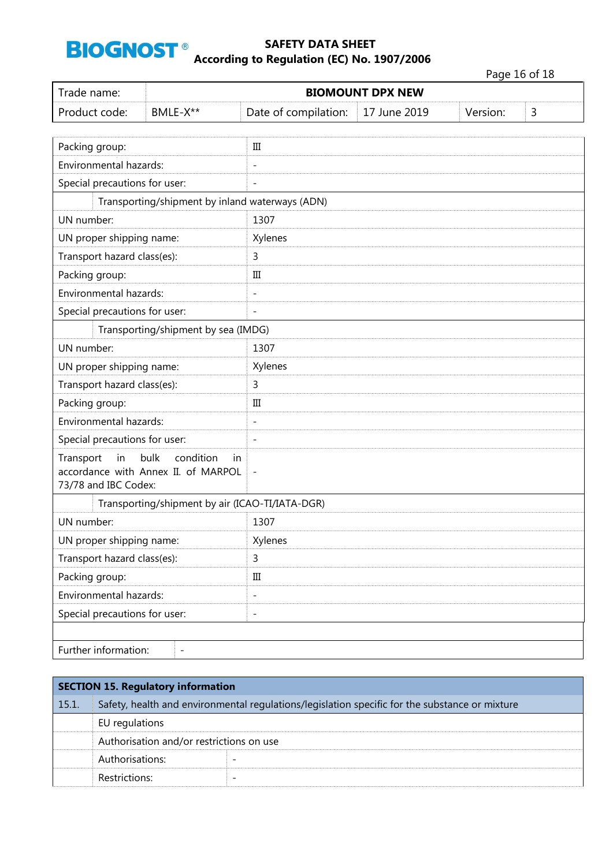

Page 16 of 18

| Trade name:                                                                                               |                                                 |                          | <b>BIOMOUNT DPX NEW</b> |          |   |
|-----------------------------------------------------------------------------------------------------------|-------------------------------------------------|--------------------------|-------------------------|----------|---|
| BMLE-X**<br>Product code:                                                                                 |                                                 | Date of compilation:     | 17 June 2019            | Version: | 3 |
|                                                                                                           |                                                 |                          |                         |          |   |
| Packing group:                                                                                            |                                                 | Ш                        |                         |          |   |
| Environmental hazards:                                                                                    |                                                 |                          |                         |          |   |
| Special precautions for user:                                                                             |                                                 | $\overline{a}$           |                         |          |   |
|                                                                                                           | Transporting/shipment by inland waterways (ADN) |                          |                         |          |   |
| UN number:                                                                                                |                                                 | 1307                     |                         |          |   |
| UN proper shipping name:                                                                                  |                                                 | Xylenes                  |                         |          |   |
| Transport hazard class(es):                                                                               |                                                 | 3                        |                         |          |   |
| Packing group:                                                                                            |                                                 | Ш                        |                         |          |   |
| Environmental hazards:                                                                                    |                                                 | $\overline{a}$           |                         |          |   |
| Special precautions for user:                                                                             |                                                 | $\overline{a}$           |                         |          |   |
|                                                                                                           | Transporting/shipment by sea (IMDG)             |                          |                         |          |   |
| UN number:                                                                                                |                                                 | 1307                     |                         |          |   |
| UN proper shipping name:                                                                                  |                                                 | Xylenes                  |                         |          |   |
| Transport hazard class(es):                                                                               |                                                 | 3                        |                         |          |   |
| Packing group:                                                                                            |                                                 | $\rm III$                |                         |          |   |
| Environmental hazards:                                                                                    |                                                 | $\overline{\phantom{0}}$ |                         |          |   |
| Special precautions for user:                                                                             |                                                 | $\overline{a}$           |                         |          |   |
| Transport<br>in<br>bulk<br>condition<br>in<br>accordance with Annex II. of MARPOL<br>73/78 and IBC Codex: |                                                 | $\qquad \qquad -$        |                         |          |   |
|                                                                                                           | Transporting/shipment by air (ICAO-TI/IATA-DGR) |                          |                         |          |   |
| UN number:                                                                                                |                                                 | 1307                     |                         |          |   |
| UN proper shipping name:                                                                                  |                                                 | Xylenes                  |                         |          |   |
| Transport hazard class(es):                                                                               |                                                 | 3                        |                         |          |   |
| Packing group:                                                                                            |                                                 | $\rm III$                |                         |          |   |
| Environmental hazards:                                                                                    |                                                 | $\overline{\phantom{0}}$ |                         |          |   |
| Special precautions for user:                                                                             |                                                 | $\overline{\phantom{0}}$ |                         |          |   |
|                                                                                                           |                                                 |                          |                         |          |   |
| Further information:                                                                                      | $\qquad \qquad -$                               |                          |                         |          |   |

| <b>SECTION 15. Regulatory information</b> |                                                                                                |                          |  |
|-------------------------------------------|------------------------------------------------------------------------------------------------|--------------------------|--|
| 15.1.                                     | Safety, health and environmental regulations/legislation specific for the substance or mixture |                          |  |
|                                           | EU regulations                                                                                 |                          |  |
|                                           | Authorisation and/or restrictions on use                                                       |                          |  |
|                                           | Authorisations:                                                                                |                          |  |
|                                           | Restrictions:                                                                                  | $\overline{\phantom{0}}$ |  |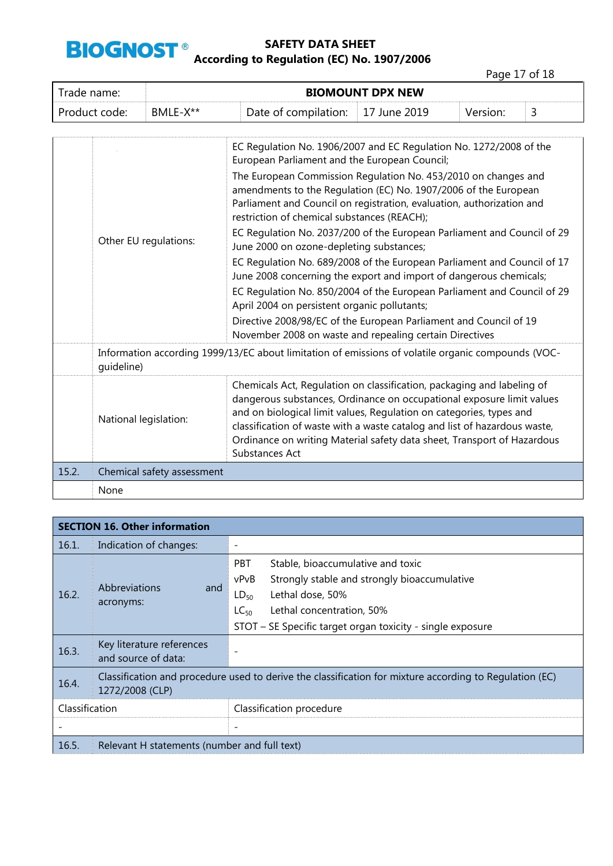

Page 17 of 18

| Trade name:   | <b>BIOMOUNT DPX NEW</b> |                                           |          |  |
|---------------|-------------------------|-------------------------------------------|----------|--|
| Product code: | BMLE-X**                | Date of compilation: $\vert$ 17 June 2019 | Version: |  |

|       |                            | EC Regulation No. 1906/2007 and EC Regulation No. 1272/2008 of the<br>European Parliament and the European Council;                                                                                                                                                                                                                                                                              |
|-------|----------------------------|--------------------------------------------------------------------------------------------------------------------------------------------------------------------------------------------------------------------------------------------------------------------------------------------------------------------------------------------------------------------------------------------------|
|       | Other EU regulations:      | The European Commission Regulation No. 453/2010 on changes and<br>amendments to the Regulation (EC) No. 1907/2006 of the European<br>Parliament and Council on registration, evaluation, authorization and<br>restriction of chemical substances (REACH);                                                                                                                                        |
|       |                            | EC Regulation No. 2037/200 of the European Parliament and Council of 29<br>June 2000 on ozone-depleting substances;                                                                                                                                                                                                                                                                              |
|       |                            | EC Regulation No. 689/2008 of the European Parliament and Council of 17<br>June 2008 concerning the export and import of dangerous chemicals;                                                                                                                                                                                                                                                    |
|       |                            | EC Regulation No. 850/2004 of the European Parliament and Council of 29<br>April 2004 on persistent organic pollutants;                                                                                                                                                                                                                                                                          |
|       |                            | Directive 2008/98/EC of the European Parliament and Council of 19<br>November 2008 on waste and repealing certain Directives                                                                                                                                                                                                                                                                     |
|       | quideline)                 | Information according 1999/13/EC about limitation of emissions of volatile organic compounds (VOC-                                                                                                                                                                                                                                                                                               |
|       | National legislation:      | Chemicals Act, Regulation on classification, packaging and labeling of<br>dangerous substances, Ordinance on occupational exposure limit values<br>and on biological limit values, Regulation on categories, types and<br>classification of waste with a waste catalog and list of hazardous waste,<br>Ordinance on writing Material safety data sheet, Transport of Hazardous<br>Substances Act |
| 15.2. | Chemical safety assessment |                                                                                                                                                                                                                                                                                                                                                                                                  |
|       | None                       |                                                                                                                                                                                                                                                                                                                                                                                                  |

|                | <b>SECTION 16. Other information</b>             |                                                                                                                                                                                                                                                  |  |  |  |
|----------------|--------------------------------------------------|--------------------------------------------------------------------------------------------------------------------------------------------------------------------------------------------------------------------------------------------------|--|--|--|
| 16.1.          | Indication of changes:                           |                                                                                                                                                                                                                                                  |  |  |  |
| 16.2.          | <b>Abbreviations</b><br>and<br>acronyms:         | <b>PBT</b><br>Stable, bioaccumulative and toxic<br>Strongly stable and strongly bioaccumulative<br>vPvB<br>Lethal dose, 50%<br>$LD_{50}$<br>Lethal concentration, 50%<br>$LC_{50}$<br>STOT - SE Specific target organ toxicity - single exposure |  |  |  |
| 16.3.          | Key literature references<br>and source of data: |                                                                                                                                                                                                                                                  |  |  |  |
| 16.4.          | 1272/2008 (CLP)                                  | Classification and procedure used to derive the classification for mixture according to Regulation (EC)                                                                                                                                          |  |  |  |
| Classification |                                                  | Classification procedure                                                                                                                                                                                                                         |  |  |  |
|                |                                                  |                                                                                                                                                                                                                                                  |  |  |  |
| 16.5.          | Relevant H statements (number and full text)     |                                                                                                                                                                                                                                                  |  |  |  |